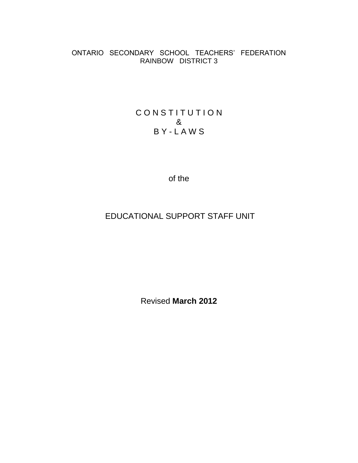## ONTARIO SECONDARY SCHOOL TEACHERS' FEDERATION RAINBOW DISTRICT 3

## CONSTITUTION & B Y - L A W S

of the

# EDUCATIONAL SUPPORT STAFF UNIT

Revised **March 2012**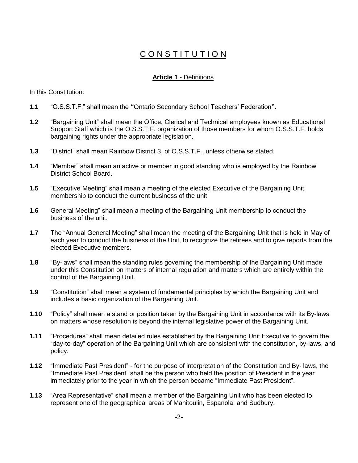# CONSTITUTION

## **Article 1 -** Definitions

In this Constitution:

- **1.1** "O.S.S.T.F." shall mean the **"**Ontario Secondary School Teachers' Federation**"**.
- **1.2** "Bargaining Unit" shall mean the Office, Clerical and Technical employees known as Educational Support Staff which is the O.S.S.T.F. organization of those members for whom O.S.S.T.F. holds bargaining rights under the appropriate legislation.
- **1.3** "District" shall mean Rainbow District 3, of O.S.S.T.F., unless otherwise stated.
- **1.4** "Member" shall mean an active or member in good standing who is employed by the Rainbow District School Board.
- **1.5** "Executive Meeting" shall mean a meeting of the elected Executive of the Bargaining Unit membership to conduct the current business of the unit
- **1.6** General Meeting" shall mean a meeting of the Bargaining Unit membership to conduct the business of the unit.
- **1.7** The "Annual General Meeting" shall mean the meeting of the Bargaining Unit that is held in May of each year to conduct the business of the Unit, to recognize the retirees and to give reports from the elected Executive members.
- **1.8** "By-laws" shall mean the standing rules governing the membership of the Bargaining Unit made under this Constitution on matters of internal regulation and matters which are entirely within the control of the Bargaining Unit.
- **1.9** "Constitution" shall mean a system of fundamental principles by which the Bargaining Unit and includes a basic organization of the Bargaining Unit.
- **1.10** "Policy" shall mean a stand or position taken by the Bargaining Unit in accordance with its By-laws on matters whose resolution is beyond the internal legislative power of the Bargaining Unit.
- **1.11** "Procedures" shall mean detailed rules established by the Bargaining Unit Executive to govern the "day-to-day" operation of the Bargaining Unit which are consistent with the constitution, by-laws, and policy.
- **1.12** "Immediate Past President" for the purpose of interpretation of the Constitution and By- laws, the "Immediate Past President" shall be the person who held the position of President in the year immediately prior to the year in which the person became "Immediate Past President".
- **1.13** "Area Representative" shall mean a member of the Bargaining Unit who has been elected to represent one of the geographical areas of Manitoulin, Espanola, and Sudbury.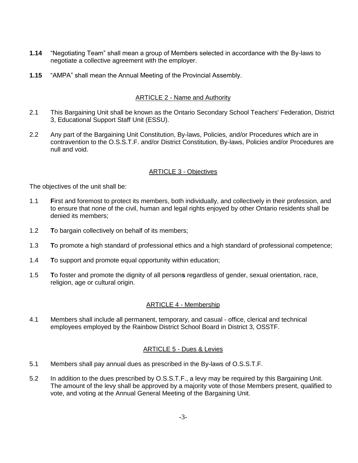- **1.14** "Negotiating Team" shall mean a group of Members selected in accordance with the By-laws to negotiate a collective agreement with the employer.
- **1.15** "AMPA" shall mean the Annual Meeting of the Provincial Assembly.

## ARTICLE 2 - Name and Authority

- 2.1 This Bargaining Unit shall be known as the Ontario Secondary School Teachers' Federation, District 3, Educational Support Staff Unit (ESSU).
- 2.2 Any part of the Bargaining Unit Constitution, By-laws, Policies, and/or Procedures which are in contravention to the O.S.S.T.F. and/or District Constitution, By-laws, Policies and/or Procedures are null and void.

## ARTICLE 3 - Objectives

The objectives of the unit shall be:

- 1.1 **F**irst and foremost to protect its members, both individually, and collectively in their profession, and to ensure that none of the civil, human and legal rights enjoyed by other Ontario residents shall be denied its members;
- 1.2 **T**o bargain collectively on behalf of its members;
- 1.3 **T**o promote a high standard of professional ethics and a high standard of professional competence;
- 1.4 **T**o support and promote equal opportunity within education;
- 1.5 **T**o foster and promote the dignity of all person**s** regardless of gender, sexual orientation, race, religion, age or cultural origin.

## ARTICLE 4 - Membership

4.1 Members shall include all permanent, temporary, and casual - office, clerical and technical employees employed by the Rainbow District School Board in District 3, OSSTF.

## ARTICLE 5 - Dues & Levies

- 5.1 Members shall pay annual dues as prescribed in the By-laws of O.S.S.T.F.
- 5.2 In addition to the dues prescribed by O.S.S.T.F., a levy may be required by this Bargaining Unit. The amount of the levy shall be approved by a majority vote of those Members present, qualified to vote, and voting at the Annual General Meeting of the Bargaining Unit.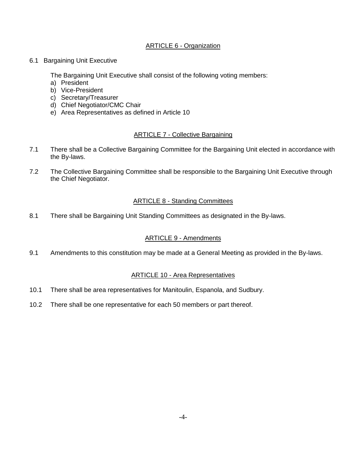## ARTICLE 6 - Organization

6.1 Bargaining Unit Executive

The Bargaining Unit Executive shall consist of the following voting members:

- a) President
- b) Vice-President
- c) Secretary/Treasurer
- d) Chief Negotiator/CMC Chair
- e) Area Representatives as defined in Article 10

## ARTICLE 7 - Collective Bargaining

- 7.1 There shall be a Collective Bargaining Committee for the Bargaining Unit elected in accordance with the By-laws.
- 7.2 The Collective Bargaining Committee shall be responsible to the Bargaining Unit Executive through the Chief Negotiator.

## ARTICLE 8 - Standing Committees

8.1 There shall be Bargaining Unit Standing Committees as designated in the By-laws.

## ARTICLE 9 - Amendments

9.1 Amendments to this constitution may be made at a General Meeting as provided in the By-laws.

## ARTICLE 10 - Area Representatives

- 10.1 There shall be area representatives for Manitoulin, Espanola, and Sudbury.
- 10.2 There shall be one representative for each 50 members or part thereof.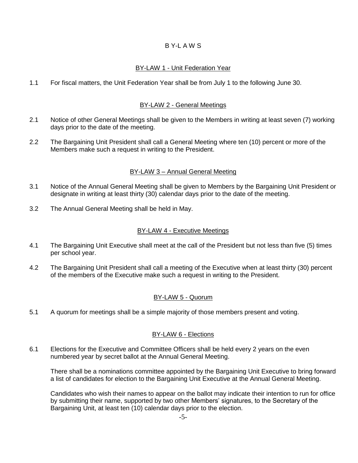## B Y-L A W S

## BY-LAW 1 - Unit Federation Year

1.1 For fiscal matters, the Unit Federation Year shall be from July 1 to the following June 30.

## BY-LAW 2 - General Meetings

- 2.1 Notice of other General Meetings shall be given to the Members in writing at least seven (7) working days prior to the date of the meeting.
- 2.2 The Bargaining Unit President shall call a General Meeting where ten (10) percent or more of the Members make such a request in writing to the President.

## BY-LAW 3 – Annual General Meeting

- 3.1 Notice of the Annual General Meeting shall be given to Members by the Bargaining Unit President or designate in writing at least thirty (30) calendar days prior to the date of the meeting.
- 3.2 The Annual General Meeting shall be held in May.

## BY-LAW 4 - Executive Meetings

- 4.1 The Bargaining Unit Executive shall meet at the call of the President but not less than five (5) times per school year.
- 4.2 The Bargaining Unit President shall call a meeting of the Executive when at least thirty (30) percent of the members of the Executive make such a request in writing to the President.

## BY-LAW 5 - Quorum

5.1 A quorum for meetings shall be a simple majority of those members present and voting.

## BY-LAW 6 - Elections

6.1 Elections for the Executive and Committee Officers shall be held every 2 years on the even numbered year by secret ballot at the Annual General Meeting.

There shall be a nominations committee appointed by the Bargaining Unit Executive to bring forward a list of candidates for election to the Bargaining Unit Executive at the Annual General Meeting.

Candidates who wish their names to appear on the ballot may indicate their intention to run for office by submitting their name, supported by two other Members' signatures, to the Secretary of the Bargaining Unit, at least ten (10) calendar days prior to the election.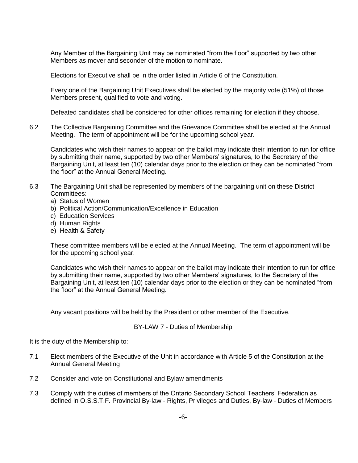Any Member of the Bargaining Unit may be nominated "from the floor" supported by two other Members as mover and seconder of the motion to nominate.

Elections for Executive shall be in the order listed in Article 6 of the Constitution.

Every one of the Bargaining Unit Executives shall be elected by the majority vote (51%) of those Members present, qualified to vote and voting.

Defeated candidates shall be considered for other offices remaining for election if they choose.

6.2 The Collective Bargaining Committee and the Grievance Committee shall be elected at the Annual Meeting. The term of appointment will be for the upcoming school year.

Candidates who wish their names to appear on the ballot may indicate their intention to run for office by submitting their name, supported by two other Members' signatures, to the Secretary of the Bargaining Unit, at least ten (10) calendar days prior to the election or they can be nominated "from the floor" at the Annual General Meeting.

- 6.3 The Bargaining Unit shall be represented by members of the bargaining unit on these District Committees:
	- a) Status of Women
	- b) Political Action/Communication/Excellence in Education
	- c) Education Services
	- d) Human Rights
	- e) Health & Safety

These committee members will be elected at the Annual Meeting. The term of appointment will be for the upcoming school year.

Candidates who wish their names to appear on the ballot may indicate their intention to run for office by submitting their name, supported by two other Members' signatures, to the Secretary of the Bargaining Unit, at least ten (10) calendar days prior to the election or they can be nominated "from the floor" at the Annual General Meeting.

Any vacant positions will be held by the President or other member of the Executive.

#### BY-LAW 7 - Duties of Membership

It is the duty of the Membership to:

- 7.1 Elect members of the Executive of the Unit in accordance with Article 5 of the Constitution at the Annual General Meeting
- 7.2 Consider and vote on Constitutional and Bylaw amendments
- 7.3 Comply with the duties of members of the Ontario Secondary School Teachers' Federation as defined in O.S.S.T.F. Provincial By-law - Rights, Privileges and Duties, By-law - Duties of Members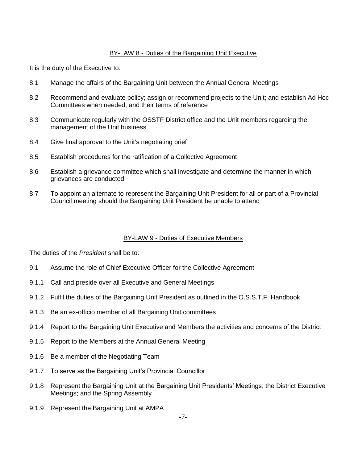## BY-LAW 8 - Duties of the Bargaining Unit Executive

It is the duty of the Executive to:

- 8.1 Manage the affairs of the Bargaining Unit between the Annual General Meetings
- 8.2 Recommend and evaluate policy; assign or recommend projects to the Unit; and establish Ad Hoc Committees when needed, and their terms of reference
- 8.3 Communicate regularly with the OSSTF District office and the Unit members regarding the management of the Unit business
- 8.4 Give final approval to the Unit's negotiating brief
- 8.5 Establish procedures for the ratification of a Collective Agreement
- 8.6 Establish a grievance committee which shall investigate and determine the manner in which grievances are conducted
- 8.7 To appoint an alternate to represent the Bargaining Unit President for all or part of a Provincial Council meeting should the Bargaining Unit President be unable to attend

## BY-LAW 9 - Duties of Executive Members

The duties of the *President* shall be to:

- 9.1 Assume the role of Chief Executive Officer for the Collective Agreement
- 9.1.1 Call and preside over all Executive and General Meetings
- 9.1.2 Fulfil the duties of the Bargaining Unit President as outlined in the O.S.S.T.F. Handbook
- 9.1.3 Be an ex-officio member of all Bargaining Unit committees
- 9.1.4 Report to the Bargaining Unit Executive and Members the activities and concerns of the District
- 9.1.5 Report to the Members at the Annual General Meeting
- 9.1.6 Be a member of the Negotiating Team
- 9.1.7 To serve as the Bargaining Unit's Provincial Councillor
- 9.1.8 Represent the Bargaining Unit at the Bargaining Unit Presidents' Meetings; the District Executive Meetings; and the Spring Assembly
- 9.1.9 Represent the Bargaining Unit at AMPA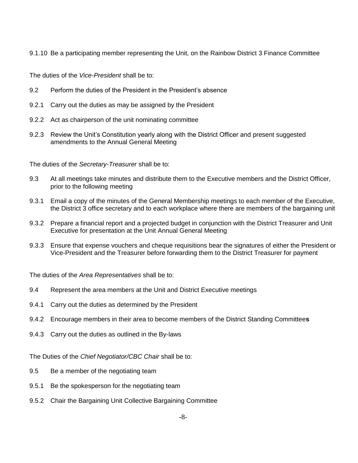9.1.10 Be a participating member representing the Unit, on the Rainbow District 3 Finance Committee

The duties of the *Vice-President* shall be to:

- 9.2 Perform the duties of the President in the President's absence
- 9.2.1 Carry out the duties as may be assigned by the President
- 9.2.2 Act as chairperson of the unit nominating committee
- 9.2.3 Review the Unit's Constitution yearly along with the District Officer and present suggested amendments to the Annual General Meeting

The duties of the *Secretary-Treasurer* shall be to:

- 9.3 At all meetings take minutes and distribute them to the Executive members and the District Officer, prior to the following meeting
- 9.3.1 Email a copy of the minutes of the General Membership meetings to each member of the Executive, the District 3 office secretary and to each workplace where there are members of the bargaining unit
- 9.3.2 Prepare a financial report and a projected budget in conjunction with the District Treasurer and Unit Executive for presentation at the Unit Annual General Meeting
- 9.3.3 Ensure that expense vouchers and cheque requisitions bear the signatures of either the President or Vice-President and the Treasurer before forwarding them to the District Treasurer for payment

The duties of the *Area Representatives* shall be to:

- 9.4 Represent the area members at the Unit and District Executive meetings
- 9.4.1 Carry out the duties as determined by the President
- 9.4.2 Encourage members in their area to become members of the District Standing Committee**s**
- 9.4.3 Carry out the duties as outlined in the By-laws

The Duties of the *Chief Negotiator/CBC Chair* shall be to:

- 9.5 Be a member of the negotiating team
- 9.5.1 Be the spokesperson for the negotiating team
- 9.5.2 Chair the Bargaining Unit Collective Bargaining Committee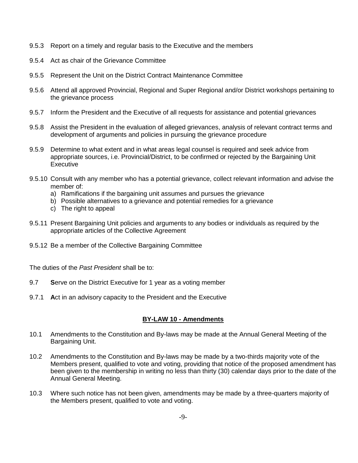- 9.5.3 Report on a timely and regular basis to the Executive and the members
- 9.5.4 Act as chair of the Grievance Committee
- 9.5.5 Represent the Unit on the District Contract Maintenance Committee
- 9.5.6 Attend all approved Provincial, Regional and Super Regional and/or District workshops pertaining to the grievance process
- 9.5.7 Inform the President and the Executive of all requests for assistance and potential grievances
- 9.5.8 Assist the President in the evaluation of alleged grievances, analysis of relevant contract terms and development of arguments and policies in pursuing the grievance procedure
- 9.5.9 Determine to what extent and in what areas legal counsel is required and seek advice from appropriate sources, i.e. Provincial/District, to be confirmed or rejected by the Bargaining Unit **Executive**
- 9.5.10 Consult with any member who has a potential grievance, collect relevant information and advise the member of:
	- a) Ramifications if the bargaining unit assumes and pursues the grievance
	- b) Possible alternatives to a grievance and potential remedies for a grievance
	- c) The right to appeal
- 9.5.11 Present Bargaining Unit policies and arguments to any bodies or individuals as required by the appropriate articles of the Collective Agreement
- 9.5.12 Be a member of the Collective Bargaining Committee

The duties of the *Past President* shall be to:

- 9.7 **S**erve on the District Executive for 1 year as a voting member
- 9.7.1 **A**ct in an advisory capacity to the President and the Executive

## **BY-LAW 10 - Amendments**

- 10.1 Amendments to the Constitution and By-laws may be made at the Annual General Meeting of the Bargaining Unit.
- 10.2 Amendments to the Constitution and By-laws may be made by a two-thirds majority vote of the Members present, qualified to vote and voting, providing that notice of the proposed amendment has been given to the membership in writing no less than thirty (30) calendar days prior to the date of the Annual General Meeting.
- 10.3 Where such notice has not been given, amendments may be made by a three-quarters majority of the Members present, qualified to vote and voting.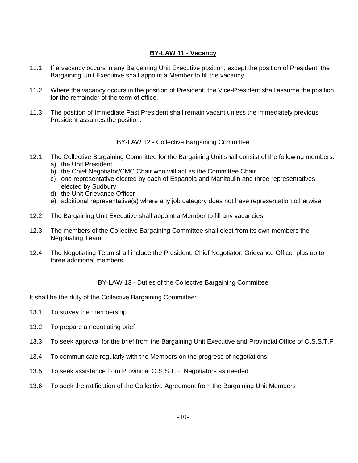## **BY-LAW 11 - Vacancy**

- 11.1 If a vacancy occurs in any Bargaining Unit Executive position, except the position of President, the Bargaining Unit Executive shall appoint a Member to fill the vacancy.
- 11.2 Where the vacancy occurs in the position of President, the Vice-President shall assume the position for the remainder of the term of office.
- 11.3 The position of Immediate Past President shall remain vacant unless the immediately previous President assumes the position.

## BY-LAW 12 - Collective Bargaining Committee

- 12.1 The Collective Bargaining Committee for the Bargaining Unit shall consist of the following members: a) the Unit President
	- b) the Chief Negotiator**/**CMC Chair who will act as the Committee Chair
	- c) one representative elected by each of Espanola and Manitoulin and three representatives elected by Sudbury
	- d) the Unit Grievance Officer
	- e) additional representative(s) where any job category does not have representation otherwise
- 12.2 The Bargaining Unit Executive shall appoint a Member to fill any vacancies.
- 12.3 The members of the Collective Bargaining Committee shall elect from its own members the Negotiating Team.
- 12.4 The Negotiating Team shall include the President, Chief Negotiator, Grievance Officer plus up to three additional members.

## BY-LAW 13 - Duties of the Collective Bargaining Committee

It shall be the duty of the Collective Bargaining Committee:

- 13.1 To survey the membership
- 13.2 To prepare a negotiating brief
- 13.3 To seek approval for the brief from the Bargaining Unit Executive and Provincial Office of O.S.S.T.F.
- 13.4 To communicate regularly with the Members on the progress of negotiations
- 13.5 To seek assistance from Provincial O.S.S.T.F. Negotiators as needed
- 13.6 To seek the ratification of the Collective Agreement from the Bargaining Unit Members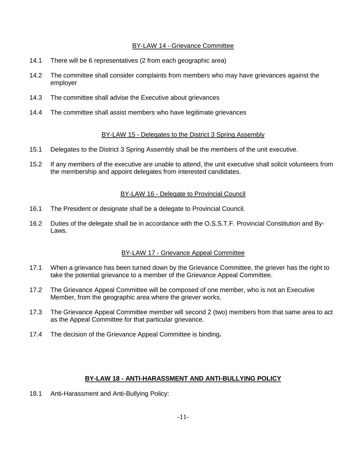## BY-LAW 14 - Grievance Committee

- 14.1 There will be 6 representatives (2 from each geographic area)
- 14.2 The committee shall consider complaints from members who may have grievances against the employer
- 14.3 The committee shall advise the Executive about grievances
- 14.4 The committee shall assist members who have legitimate grievances

## BY-LAW 15 - Delegates to the District 3 Spring Assembly

- 15.1 Delegates to the District 3 Spring Assembly shall be the members of the unit executive.
- 15.2 If any members of the executive are unable to attend, the unit executive shall solicit volunteers from the membership and appoint delegates from interested candidates.

## BY-LAW 16 - Delegate to Provincial Council

- 16.1 The President or designate shall be a delegate to Provincial Council.
- 16.2 Duties of the delegate shall be in accordance with the O.S.S.T.F. Provincial Constitution and By-Laws.

## BY-LAW 17 - Grievance Appeal Committee

- 17.1 When a grievance has been turned down by the Grievance Committee, the griever has the right to take the potential grievance to a member of the Grievance Appeal Committee.
- 17.2 The Grievance Appeal Committee will be composed of one member, who is not an Executive Member, from the geographic area where the griever works.
- 17.3 The Grievance Appeal Committee member will second 2 (two) members from that same area to act as the Appeal Committee for that particular grievance.
- 17.4 The decision of the Grievance Appeal Committee is binding**.**

## **BY-LAW 18 - ANTI-HARASSMENT AND ANTI-BULLYING POLICY**

18.1 Anti-Harassment and Anti-Bullying Policy: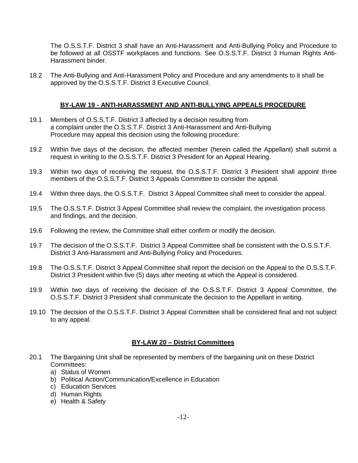The O.S.S.T.F. District 3 shall have an Anti-Harassment and Anti-Bullying Policy and Procedure to be followed at all OSSTF workplaces and functions. See O.S.S.T.F. District 3 Human Rights Anti-Harassment binder.

18.2 The Anti-Bullying and Anti-Harassment Policy and Procedure and any amendments to it shall be approved by the O.S.S.T.F. District 3 Executive Council.

#### **BY-LAW 19 - ANTI-HARASSMENT AND ANTI-BULLYING APPEALS PROCEDURE**

- 19.1 Members of O.S.S.T.F. District 3 affected by a decision resulting from a complaint under the O.S.S.T.F. District 3 Anti-Harassment and Anti-Bullying Procedure may appeal this decision using the following procedure:
- 19.2 Within five days of the decision, the affected member (herein called the Appellant) shall submit a request in writing to the O.S.S.T.F. District 3 President for an Appeal Hearing.
- 19.3 Within two days of receiving the request, the O.S.S.T.F. District 3 President shall appoint three members of the O.S.S.T.F. District 3 Appeals Committee to consider the appeal.
- 19.4 Within three days, the O.S.S.T.F. District 3 Appeal Committee shall meet to consider the appeal.
- 19.5 The O.S.S.T.F. District 3 Appeal Committee shall review the complaint, the investigation process and findings, and the decision.
- 19.6 Following the review, the Committee shall either confirm or modify the decision.
- 19.7 The decision of the O.S.S.T.F. District 3 Appeal Committee shall be consistent with the O.S.S.T.F. District 3 Anti-Harassment and Anti-Bullying Policy and Procedures.
- 19.8 The O.S.S.T.F. District 3 Appeal Committee shall report the decision on the Appeal to the O.S.S.T.F. District 3 President within five (5) days after meeting at which the Appeal is considered.
- 19.9 Within two days of receiving the decision of the O.S.S.T.F. District 3 Appeal Committee, the O.S.S.T.F. District 3 President shall communicate the decision to the Appellant in writing.
- 19.10 The decision of the O.S.S.T.F. District 3 Appeal Committee shall be considered final and not subject to any appeal.

## **BY-LAW 20 – District Committees**

- 20.1 The Bargaining Unit shall be represented by members of the bargaining unit on these District Committees:
	- a) Status of Women
	- b) Political Action/Communication/Excellence in Education
	- c) Education Services
	- d) Human Rights
	- e) Health & Safety